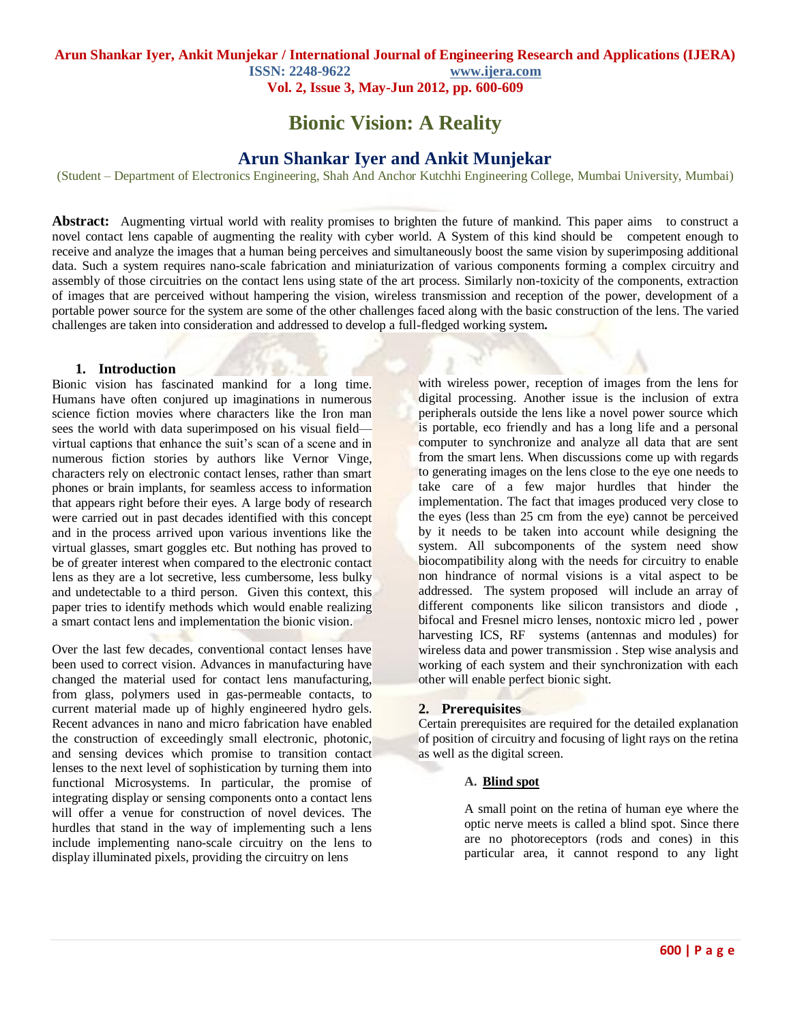**ISSN: 2248-9622 www.ijera.com Vol. 2, Issue 3, May-Jun 2012, pp. 600-609**

# **Bionic Vision: A Reality**

## **Arun Shankar Iyer and Ankit Munjekar**

(Student – Department of Electronics Engineering, Shah And Anchor Kutchhi Engineering College, Mumbai University, Mumbai)

**Abstract:** Augmenting virtual world with reality promises to brighten the future of mankind. This paper aims to construct a novel contact lens capable of augmenting the reality with cyber world. A System of this kind should be competent enough to receive and analyze the images that a human being perceives and simultaneously boost the same vision by superimposing additional data. Such a system requires nano-scale fabrication and miniaturization of various components forming a complex circuitry and assembly of those circuitries on the contact lens using state of the art process. Similarly non-toxicity of the components, extraction of images that are perceived without hampering the vision, wireless transmission and reception of the power, development of a portable power source for the system are some of the other challenges faced along with the basic construction of the lens. The varied challenges are taken into consideration and addressed to develop a full-fledged working system*.*

#### **1. Introduction**

Bionic vision has fascinated mankind for a long time. Humans have often conjured up imaginations in numerous science fiction movies where characters like the Iron man sees the world with data superimposed on his visual field virtual captions that enhance the suit's scan of a scene and in numerous fiction stories by authors like Vernor Vinge, characters rely on electronic contact lenses, rather than smart phones or brain implants, for seamless access to information that appears right before their eyes. A large body of research were carried out in past decades identified with this concept and in the process arrived upon various inventions like the virtual glasses, smart goggles etc. But nothing has proved to be of greater interest when compared to the electronic contact lens as they are a lot secretive, less cumbersome, less bulky and undetectable to a third person. Given this context, this paper tries to identify methods which would enable realizing a smart contact lens and implementation the bionic vision.

Over the last few decades, conventional contact lenses have been used to correct vision. Advances in manufacturing have changed the material used for contact lens manufacturing, from glass, polymers used in gas-permeable contacts, to current material made up of highly engineered hydro gels. Recent advances in nano and micro fabrication have enabled the construction of exceedingly small electronic, photonic, and sensing devices which promise to transition contact lenses to the next level of sophistication by turning them into functional Microsystems. In particular, the promise of integrating display or sensing components onto a contact lens will offer a venue for construction of novel devices. The hurdles that stand in the way of implementing such a lens include implementing nano-scale circuitry on the lens to display illuminated pixels, providing the circuitry on lens

with wireless power, reception of images from the lens for digital processing. Another issue is the inclusion of extra peripherals outside the lens like a novel power source which is portable, eco friendly and has a long life and a personal computer to synchronize and analyze all data that are sent from the smart lens. When discussions come up with regards to generating images on the lens close to the eye one needs to take care of a few major hurdles that hinder the implementation. The fact that images produced very close to the eyes (less than 25 cm from the eye) cannot be perceived by it needs to be taken into account while designing the system. All subcomponents of the system need show biocompatibility along with the needs for circuitry to enable non hindrance of normal visions is a vital aspect to be addressed. The system proposed will include an array of different components like silicon transistors and diode , bifocal and Fresnel micro lenses, nontoxic micro led , power harvesting ICS, RF systems (antennas and modules) for wireless data and power transmission . Step wise analysis and working of each system and their synchronization with each other will enable perfect bionic sight.

#### **2. Prerequisites**

Certain prerequisites are required for the detailed explanation of position of circuitry and focusing of light rays on the retina as well as the digital screen.

## **A. Blind spot**

A small point on the retina of human eye where the optic nerve meets is called a blind spot. Since there are no photoreceptors (rods and cones) in this particular area, it cannot respond to any light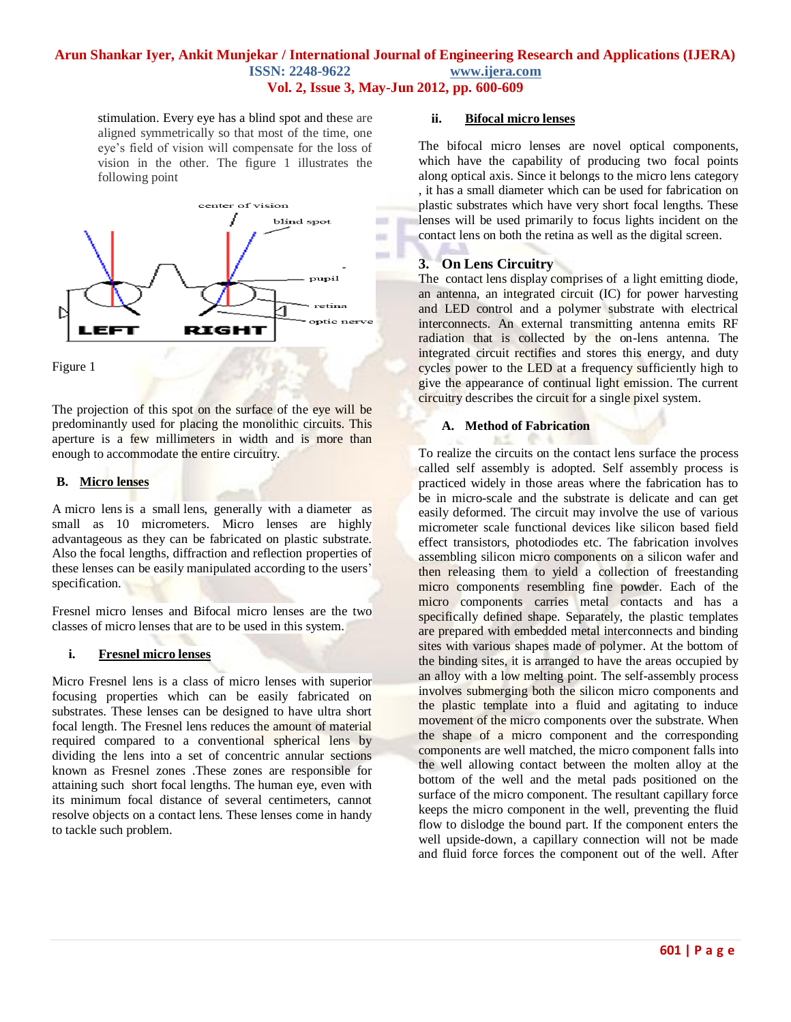stimulation. Every eye has a blind spot and these are aligned symmetrically so that most of the time, one eye's field of vision will compensate for the loss of vision in the other. The figure 1 illustrates the following point



Figure 1

The projection of this spot on the surface of the eye will be predominantly used for placing the monolithic circuits. This aperture is a few millimeters in width and is more than enough to accommodate the entire circuitry.

## **B. Micro lenses**

A micro lens is a small [lens,](http://en.wikipedia.org/wiki/Lens_(optics)) generally with a [diameter](http://en.wikipedia.org/wiki/Diameter) as small as 10 micrometers. Micro lenses are highly advantageous as they can be fabricated on plastic substrate. Also the focal lengths, diffraction and reflection properties of these lenses can be easily manipulated according to the users' specification.

Fresnel micro lenses and Bifocal micro lenses are the two classes of micro lenses that are to be used in this system.

## **i. Fresnel micro lenses**

Micro Fresnel lens is a class of micro lenses with superior focusing properties which can be easily fabricated on substrates. These lenses can be designed to have ultra short focal length. The Fresnel lens reduces the amount of material required compared to a conventional spherical lens by dividing the lens into a set of concentric annular sections known as [Fresnel zones](http://en.wikipedia.org/wiki/Fresnel_zone) .These zones are responsible for attaining such short focal lengths. The human eye, even with its minimum focal distance of several centimeters, cannot resolve objects on a contact lens. These lenses come in handy to tackle such problem.

#### **ii. Bifocal micro lenses**

The bifocal micro lenses are novel optical components, which have the capability of producing two focal points along optical axis. Since it belongs to the micro lens category , it has a small diameter which can be used for fabrication on plastic substrates which have very short focal lengths. These lenses will be used primarily to focus lights incident on the contact lens on both the retina as well as the digital screen.

## **3. On Lens Circuitry**

The contact lens display comprises of a light emitting diode, an antenna, an integrated circuit (IC) for power harvesting and LED control and a polymer substrate with electrical interconnects. An external transmitting antenna emits RF radiation that is collected by the on-lens antenna. The integrated circuit rectifies and stores this energy, and duty cycles power to the LED at a frequency sufficiently high to give the appearance of continual light emission. The current circuitry describes the circuit for a single pixel system.

#### **A. Method of Fabrication**

To realize the circuits on the contact lens surface the process called self assembly is adopted. Self assembly process is practiced widely in those areas where the fabrication has to be in micro-scale and the substrate is delicate and can get easily deformed. The circuit may involve the use of various micrometer scale functional devices like silicon based field effect transistors, photodiodes etc. The fabrication involves assembling silicon micro components on a silicon wafer and then releasing them to yield a collection of freestanding micro components resembling fine powder. Each of the micro components carries metal contacts and has a specifically defined shape. Separately, the plastic templates are prepared with embedded metal interconnects and binding sites with various shapes made of polymer. At the bottom of the binding sites, it is arranged to have the areas occupied by an alloy with a low melting point. The self-assembly process involves submerging both the silicon micro components and the plastic template into a fluid and agitating to induce movement of the micro components over the substrate. When the shape of a micro component and the corresponding components are well matched, the micro component falls into the well allowing contact between the molten alloy at the bottom of the well and the metal pads positioned on the surface of the micro component. The resultant capillary force keeps the micro component in the well, preventing the fluid flow to dislodge the bound part. If the component enters the well upside-down, a capillary connection will not be made and fluid force forces the component out of the well. After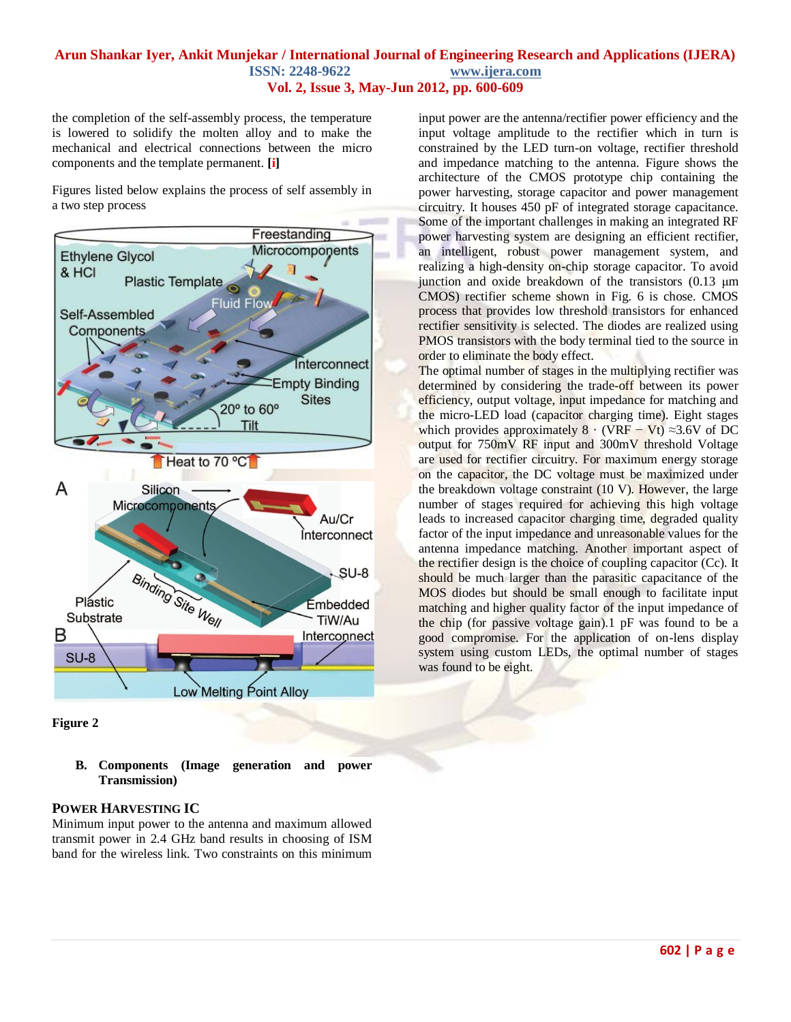the completion of the self-assembly process, the temperature is lowered to solidify the molten alloy and to make the mechanical and electrical connections between the micro components and the template permanent. **[\[i\]](#page-9-0)**

Figures listed below explains the process of self assembly in a two step process



**Figure 2**

**B. Components (Image generation and power Transmission)**

## **POWER HARVESTING IC**

Minimum input power to the antenna and maximum allowed transmit power in 2.4 GHz band results in choosing of ISM band for the wireless link. Two constraints on this minimum

input power are the antenna/rectifier power efficiency and the input voltage amplitude to the rectifier which in turn is constrained by the LED turn-on voltage, rectifier threshold and impedance matching to the antenna. Figure shows the architecture of the CMOS prototype chip containing the power harvesting, storage capacitor and power management circuitry. It houses 450 pF of integrated storage capacitance. Some of the important challenges in making an integrated RF power harvesting system are designing an efficient rectifier, an intelligent, robust power management system, and realizing a high-density on-chip storage capacitor. To avoid junction and oxide breakdown of the transistors (0.13 μm CMOS) rectifier scheme shown in Fig. 6 is chose. CMOS process that provides low threshold transistors for enhanced rectifier sensitivity is selected. The diodes are realized using PMOS transistors with the body terminal tied to the source in order to eliminate the body effect.

The optimal number of stages in the multiplying rectifier was determined by considering the trade-off between its power efficiency, output voltage, input impedance for matching and the micro-LED load (capacitor charging time). Eight stages which provides approximately  $8 \cdot (VRF - Vt) \approx 3.6V$  of DC output for 750mV RF input and 300mV threshold Voltage are used for rectifier circuitry. For maximum energy storage on the capacitor, the DC voltage must be maximized under the breakdown voltage constraint (10 V). However, the large number of stages required for achieving this high voltage leads to increased capacitor charging time, degraded quality factor of the input impedance and unreasonable values for the antenna impedance matching. Another important aspect of the rectifier design is the choice of coupling capacitor (Cc). It should be much larger than the parasitic capacitance of the MOS diodes but should be small enough to facilitate input matching and higher quality factor of the input impedance of the chip (for passive voltage gain).1 pF was found to be a good compromise. For the application of on-lens display system using custom LEDs, the optimal number of stages was found to be eight.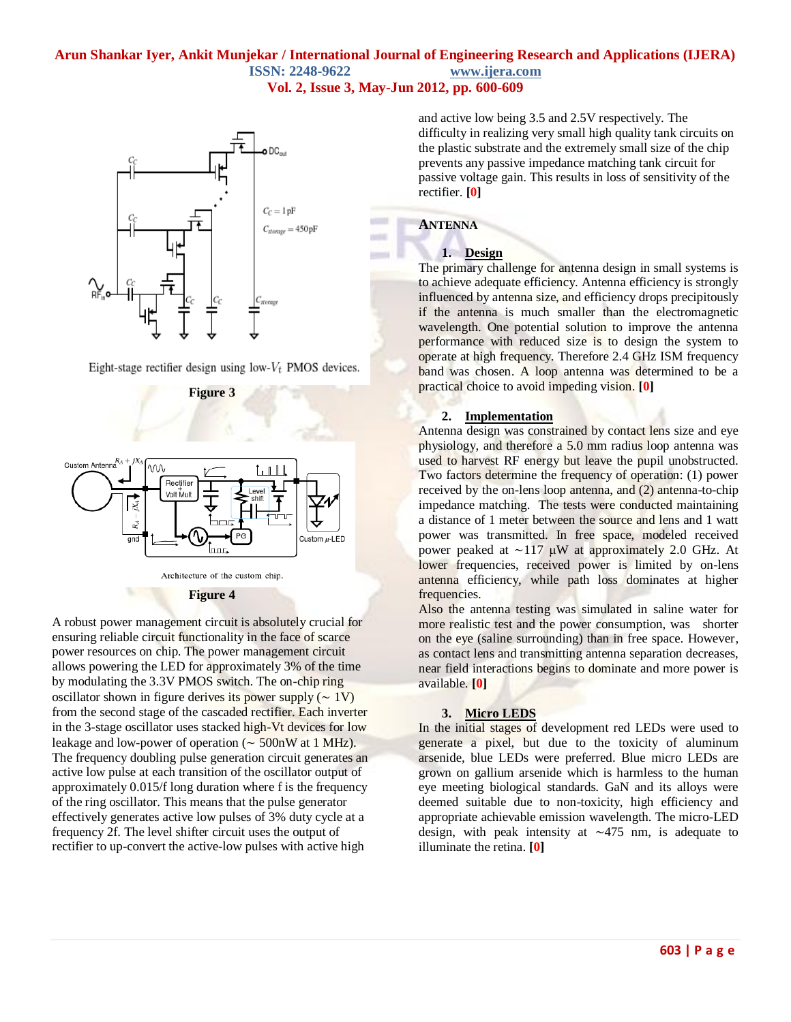**COLLECT** 

**MARKET** 



Eight-stage rectifier design using low- $V_t$  PMOS devices.

**Figure 3**



**Figure 4**

A robust power management circuit is absolutely crucial for ensuring reliable circuit functionality in the face of scarce power resources on chip. The power management circuit allows powering the LED for approximately 3% of the time by modulating the 3.3V PMOS switch. The on-chip ring oscillator shown in figure derives its power supply  $({\sim 1V})$ from the second stage of the cascaded rectifier. Each inverter in the 3-stage oscillator uses stacked high-Vt devices for low leakage and low-power of operation (∼ 500nW at 1 MHz). The frequency doubling pulse generation circuit generates an active low pulse at each transition of the oscillator output of approximately 0.015/f long duration where f is the frequency of the ring oscillator. This means that the pulse generator effectively generates active low pulses of 3% duty cycle at a frequency 2f. The level shifter circuit uses the output of rectifier to up-convert the active-low pulses with active high

and active low being 3.5 and 2.5V respectively. The difficulty in realizing very small high quality tank circuits on the plastic substrate and the extremely small size of the chip prevents any passive impedance matching tank circuit for passive voltage gain. This results in loss of sensitivity of the rectifier. **[\[0\]](#page-9-1)**

## **ANTENNA**

#### **1. Design**

The primary challenge for antenna design in small systems is to achieve adequate efficiency. Antenna efficiency is strongly influenced by antenna size, and efficiency drops precipitously if the antenna is much smaller than the electromagnetic wavelength. One potential solution to improve the antenna performance with reduced size is to design the system to operate at high frequency. Therefore 2.4 GHz ISM frequency band was chosen. A loop antenna was determined to be a practical choice to avoid impeding vision. **[\[0\]](#page-9-2)**

#### **2. Implementation**

Antenna design was constrained by contact lens size and eye physiology, and therefore a 5.0 mm radius loop antenna was used to harvest RF energy but leave the pupil unobstructed. Two factors determine the frequency of operation: (1) power received by the on-lens loop antenna, and (2) antenna-to-chip impedance matching. The tests were conducted maintaining a distance of 1 meter between the source and lens and 1 watt power was transmitted. In free space, modeled received power peaked at ∼117 μW at approximately 2.0 GHz. At lower frequencies, received power is limited by on-lens antenna efficiency, while path loss dominates at higher frequencies.

Also the antenna testing was simulated in saline water for more realistic test and the power consumption, was shorter on the eye (saline surrounding) than in free space. However, as contact lens and transmitting antenna separation decreases, near field interactions begins to dominate and more power is available. **[\[0\]](#page-9-1)**

#### **3. Micro LEDS**

In the initial stages of development red LEDs were used to generate a pixel, but due to the toxicity of aluminum arsenide, blue LEDs were preferred. Blue micro LEDs are grown on gallium arsenide which is harmless to the human eye meeting biological standards. GaN and its alloys were deemed suitable due to non-toxicity, high efficiency and appropriate achievable emission wavelength. The micro-LED design, with peak intensity at ∼475 nm, is adequate to illuminate the retina. **[\[0\]](#page-9-1)**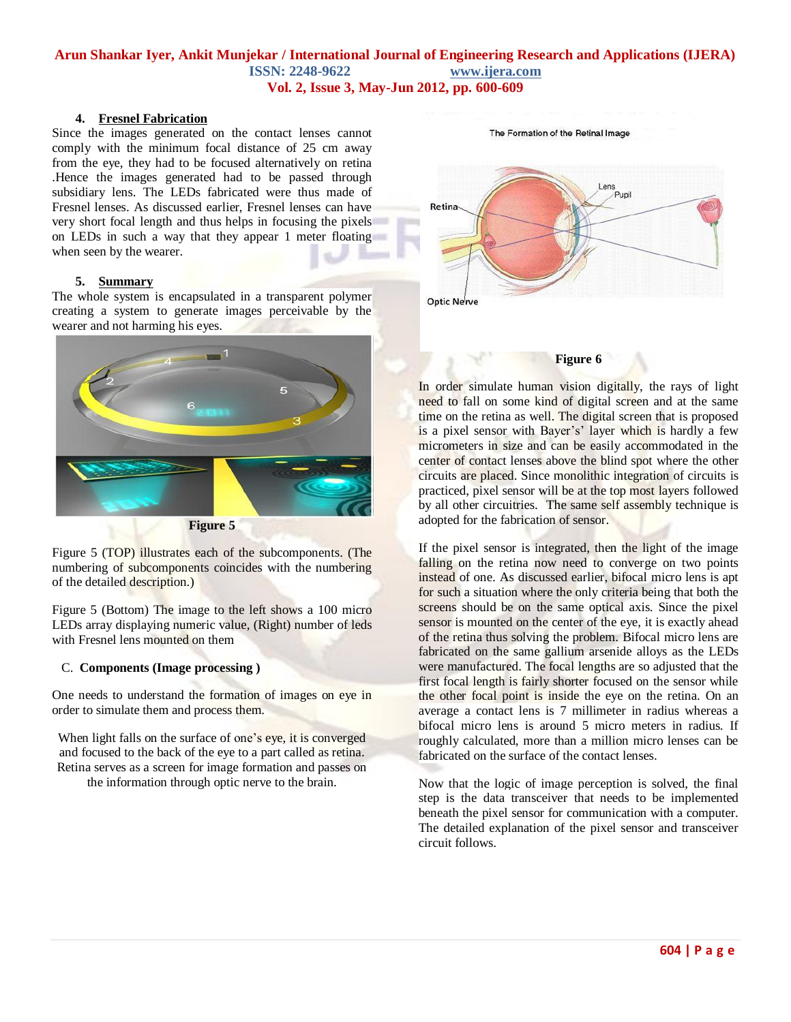#### **4. Fresnel Fabrication**

Since the images generated on the contact lenses cannot comply with the minimum focal distance of 25 cm away from the eye, they had to be focused alternatively on retina .Hence the images generated had to be passed through subsidiary lens. The LEDs fabricated were thus made of Fresnel lenses. As discussed earlier, Fresnel lenses can have very short focal length and thus helps in focusing the pixels on LEDs in such a way that they appear 1 meter floating when seen by the wearer.

#### **5. Summary**

The whole system is encapsulated in a transparent polymer creating a system to generate images perceivable by the wearer and not harming his eyes.



Figure 5 (TOP) illustrates each of the subcomponents. (The numbering of subcomponents coincides with the numbering of the detailed description.)

Figure 5 (Bottom) The image to the left shows a 100 micro LEDs array displaying numeric value, (Right) number of leds with Fresnel lens mounted on them

#### C. **Components (Image processing )**

One needs to understand the formation of images on eye in order to simulate them and process them.

When light falls on the surface of one's eye, it is converged and focused to the back of the eye to a part called as retina. Retina serves as a screen for image formation and passes on the information through optic nerve to the brain.

The Formation of the Retinal Image



#### **Figure 6**

In order simulate human vision digitally, the rays of light need to fall on some kind of digital screen and at the same time on the retina as well. The digital screen that is proposed is a pixel sensor with Bayer's' layer which is hardly a few micrometers in size and can be easily accommodated in the center of contact lenses above the blind spot where the other circuits are placed. Since monolithic integration of circuits is practiced, pixel sensor will be at the top most layers followed by all other circuitries. The same self assembly technique is adopted for the fabrication of sensor.

If the pixel sensor is integrated, then the light of the image falling on the retina now need to converge on two points instead of one. As discussed earlier, bifocal micro lens is apt for such a situation where the only criteria being that both the screens should be on the same optical axis. Since the pixel sensor is mounted on the center of the eye, it is exactly ahead of the retina thus solving the problem. Bifocal micro lens are fabricated on the same gallium arsenide alloys as the LEDs were manufactured. The focal lengths are so adjusted that the first focal length is fairly shorter focused on the sensor while the other focal point is inside the eye on the retina. On an average a contact lens is 7 millimeter in radius whereas a bifocal micro lens is around 5 micro meters in radius. If roughly calculated, more than a million micro lenses can be fabricated on the surface of the contact lenses.

Now that the logic of image perception is solved, the final step is the data transceiver that needs to be implemented beneath the pixel sensor for communication with a computer. The detailed explanation of the pixel sensor and transceiver circuit follows.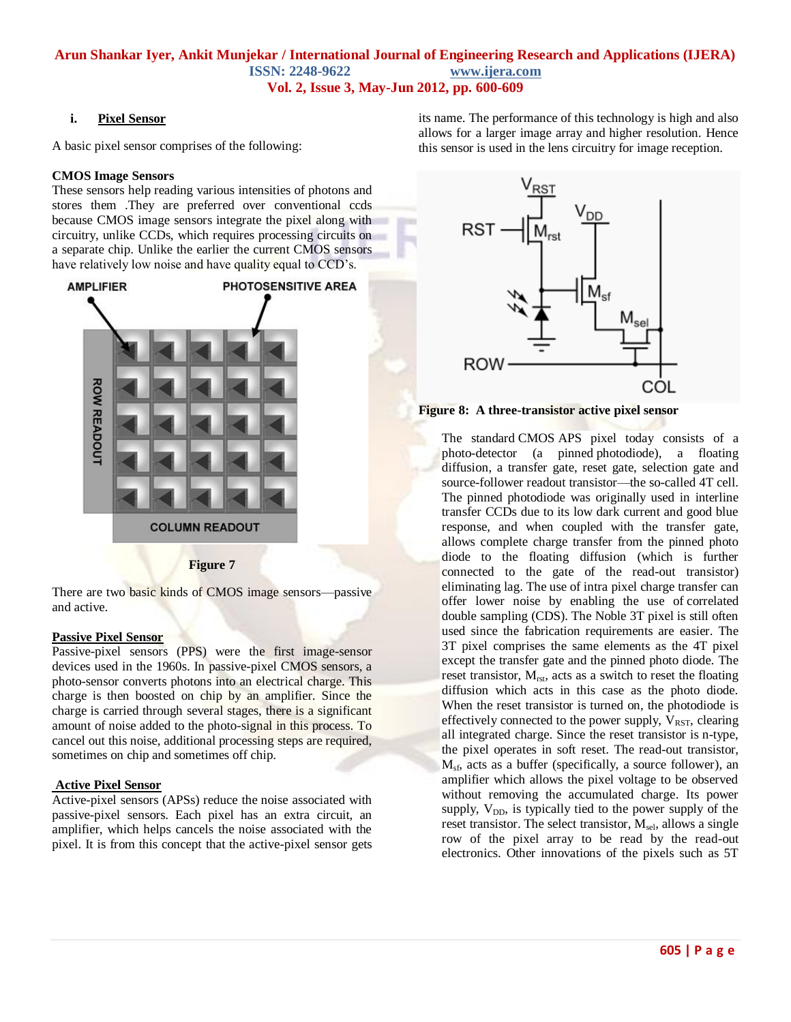#### **i. Pixel Sensor**

A basic pixel sensor comprises of the following:

#### **CMOS Image Sensors**

These sensors help reading various intensities of photons and stores them .They are preferred over conventional ccds because CMOS image sensors integrate the pixel along with circuitry, unlike CCDs, which requires processing circuits on a separate chip. Unlike the earlier the current CMOS sensors have relatively low noise and have quality equal to CCD's.



#### **Figure 7**

There are two basic kinds of CMOS image sensors—passive and active.

#### **Passive Pixel Sensor**

Passive-pixel sensors (PPS) were the first image-sensor devices used in the 1960s. In passive-pixel CMOS sensors, a photo-sensor converts photons into an electrical charge. This charge is then boosted on chip by an amplifier. Since the charge is carried through several stages, there is a significant amount of noise added to the photo-signal in this process. To cancel out this noise, additional processing steps are required, sometimes on chip and sometimes off chip.

#### **Active Pixel Sensor**

Active-pixel sensors (APSs) reduce the noise associated with passive-pixel sensors. Each pixel has an extra circuit, an amplifier, which helps cancels the noise associated with the pixel. It is from this concept that the active-pixel sensor gets its name. The performance of this technology is high and also allows for a larger image array and higher resolution. Hence this sensor is used in the lens circuitry for image reception.



**Figure 8: A three-transistor active pixel sensor**

The standard [CMOS](http://en.wikipedia.org/wiki/CMOS) APS pixel today consists of a photo-detector (a pinned [photodiode\)](http://en.wikipedia.org/wiki/Photodiode), a floating diffusion, a transfer gate, reset gate, selection gate and source-follower readout transistor—the so-called 4T cell. The pinned photodiode was originally used in interline transfer CCDs due to its low dark current and good blue response, and when coupled with the transfer gate, allows complete charge transfer from the pinned photo diode to the floating diffusion (which is further connected to the gate of the read-out transistor) eliminating lag. The use of intra pixel charge transfer can offer lower noise by enabling the use of [correlated](http://en.wikipedia.org/wiki/Correlated_double_sampling)  [double sampling](http://en.wikipedia.org/wiki/Correlated_double_sampling) (CDS). The Noble 3T pixel is still often used since the fabrication requirements are easier. The 3T pixel comprises the same elements as the 4T pixel except the transfer gate and the pinned photo diode. The reset transistor,  $M_{rst}$ , acts as a switch to reset the floating diffusion which acts in this case as the photo diode. When the reset transistor is turned on, the photodiode is effectively connected to the power supply,  $V_{RST}$ , clearing all integrated charge. Since the reset transistor is [n-type,](http://en.wikipedia.org/wiki/N-type_semiconductor) the pixel operates in soft reset. The read-out transistor,  $M<sub>sf</sub>$ , acts as a buffer (specifically, a [source follower\)](http://en.wikipedia.org/wiki/Source_follower), an amplifier which allows the pixel voltage to be observed without removing the accumulated charge. Its power supply,  $V_{DD}$ , is typically tied to the power supply of the reset transistor. The select transistor,  $M_{\text{sel}}$ , allows a single row of the pixel array to be read by the read-out electronics. Other innovations of the pixels such as 5T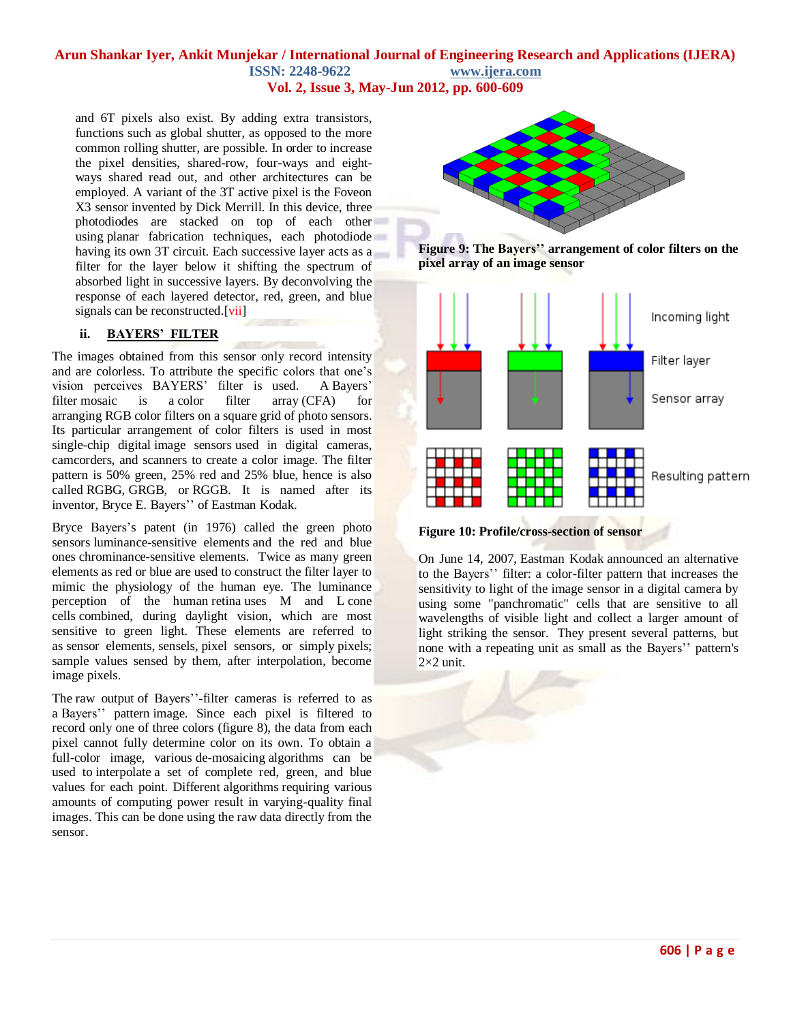# **Arun Shankar Iyer, Ankit Munjekar / International Journal of Engineering Research and Applications (IJERA) ISSN: 2248-9622 www.ijera.com**

**Vol. 2, Issue 3, May-Jun 2012, pp. 600-609**

and 6T pixels also exist. By adding extra transistors, functions such as global shutter, as opposed to the more common [rolling shutter,](http://en.wikipedia.org/wiki/Rolling_shutter) are possible. In order to increase the pixel densities, shared-row, four-ways and eightways shared read out, and other architectures can be employed. A variant of the 3T active pixel is the [Foveon](http://en.wikipedia.org/wiki/Foveon_X3_sensor)  [X3 sensor](http://en.wikipedia.org/wiki/Foveon_X3_sensor) invented by Dick Merrill. In this device, three photodiodes are stacked on top of each other using [planar fabrication techniques,](http://en.wikipedia.org/wiki/Planar_process) each photodiode having its own 3T circuit. Each successive layer acts as a filter for the layer below it shifting the spectrum of absorbed light in successive layers. By deconvolving the response of each layered detector, red, green, and blue signals can be reconstructed.[\[vii\]](#page-9-3)

## **ii. BAYERS' FILTER**

The images obtained from this sensor only record intensity and are colorless. To attribute the specific colors that one's vision perceives BAYERS' filter is used. A Bayers' filter mosaic is a [color filter array](http://en.wikipedia.org/wiki/Color_filter_array) (CFA) for arranging [RGB](http://en.wikipedia.org/wiki/RGB_color_model) color filters on a square grid of photo sensors. Its particular arrangement of color filters is used in most single-chip digital [image sensors](http://en.wikipedia.org/wiki/Image_sensor) used in digital cameras, camcorders, and scanners to create a color image. The filter pattern is 50% green, 25% red and 25% blue, hence is also called RGBG, GRGB, or RGGB. It is named after its inventor, Bryce E. Bayers'' of [Eastman Kodak.](http://en.wikipedia.org/wiki/Eastman_Kodak)

Bryce Bayers's patent (in 1976) called the green photo sensors luminance-sensitive elements and the red and blue ones chrominance-sensitive elements. Twice as many green elements as red or blue are used to construct the filter layer to mimic the physiology of the [human eye.](http://en.wikipedia.org/wiki/Human_eye) The luminance perception of the human [retina](http://en.wikipedia.org/wiki/Retina) uses M and L [cone](http://en.wikipedia.org/wiki/Cone_cells)  [cells](http://en.wikipedia.org/wiki/Cone_cells) combined, during daylight vision, which are most sensitive to green light. These elements are referred to as sensor elements, [sensels,](http://en.wiktionary.org/wiki/sensel) pixel sensors, or simply pixels; sample values sensed by them, after interpolation, become image [pixels.](http://en.wikipedia.org/wiki/Pixels)

The [raw output](http://en.wikipedia.org/wiki/Raw_image_format) of Bayers''-filter cameras is referred to as a Bayers'' pattern image. Since each pixel is filtered to record only one of three colors (figure 8), the data from each pixel cannot fully determine color on its own. To obtain a full-color image, various [de-mosaicing](http://en.wikipedia.org/wiki/Demosaicing) algorithms can be used to interpolate a set of complete red, green, and blue values for each point. Different [algorithms](http://en.wikipedia.org/wiki/Algorithms) requiring various amounts of computing power result in varying-quality final images. This can be done using the raw data directly from the sensor.



**Figure 9: The Bayers'' arrangement of color filters on the pixel array of an image sensor**





On June 14, 2007, [Eastman Kodak](http://en.wikipedia.org/wiki/Eastman_Kodak) announced an alternative to the Bayers'' filter: a color-filter pattern that increases the sensitivity to light of the image sensor in a digital camera by using some "panchromatic" cells that are sensitive to all wavelengths of visible light and collect a larger amount of light striking the sensor. They present several patterns, but none with a repeating unit as small as the Bayers'' pattern's  $2\times2$  unit.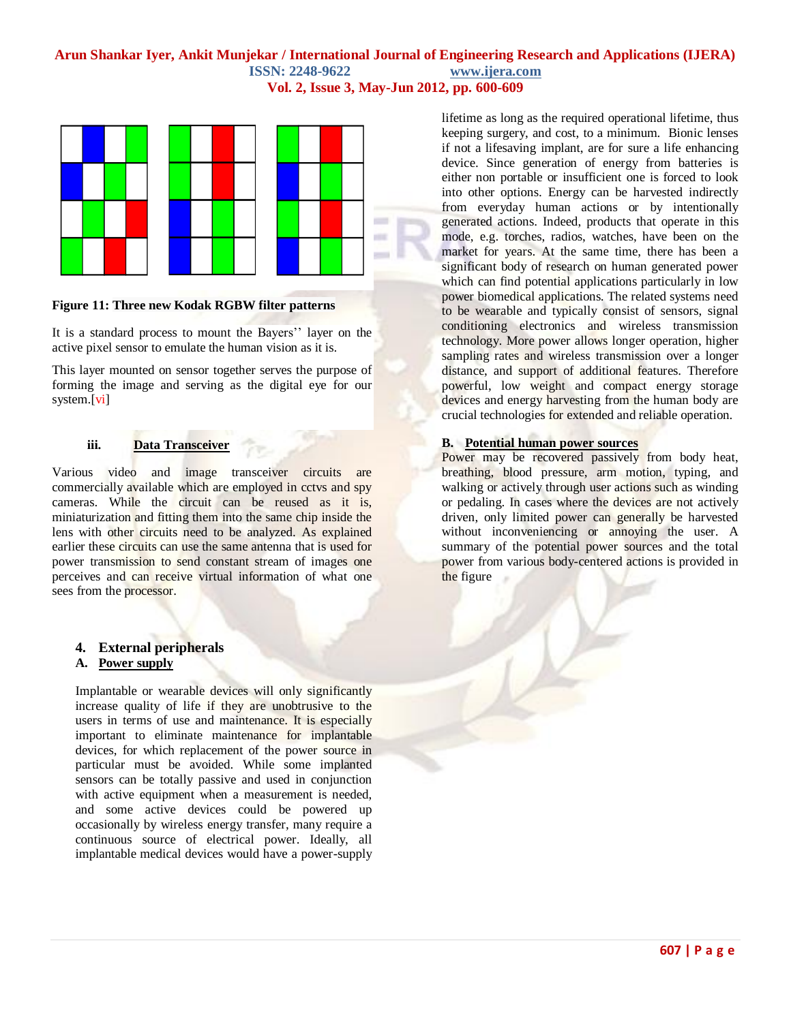

#### **Figure 11: Three new Kodak RGBW filter patterns**

It is a standard process to mount the Bayers'' layer on the active pixel sensor to emulate the human vision as it is.

This layer mounted on sensor together serves the purpose of forming the image and serving as the digital eye for our system.[\[vi\]](#page-9-4)

## **iii. Data Transceiver**

Various video and image transceiver circuits are commercially available which are employed in cctvs and spy cameras. While the circuit can be reused as it is, miniaturization and fitting them into the same chip inside the lens with other circuits need to be analyzed. As explained earlier these circuits can use the same antenna that is used for power transmission to send constant stream of images one perceives and can receive virtual information of what one sees from the processor.

## **4. External peripherals**

#### **A. Power supply**

Implantable or wearable devices will only significantly increase quality of life if they are unobtrusive to the users in terms of use and maintenance. It is especially important to eliminate maintenance for implantable devices, for which replacement of the power source in particular must be avoided. While some implanted sensors can be totally passive and used in conjunction with active equipment when a measurement is needed, and some active devices could be powered up occasionally by wireless energy transfer, many require a continuous source of electrical power. Ideally, all implantable medical devices would have a power-supply

lifetime as long as the required operational lifetime, thus keeping surgery, and cost, to a minimum. Bionic lenses if not a lifesaving implant, are for sure a life enhancing device. Since generation of energy from batteries is either non portable or insufficient one is forced to look into other options. Energy can be harvested indirectly from everyday human actions or by intentionally generated actions. Indeed, products that operate in this mode, e.g. torches, radios, watches, have been on the market for years. At the same time, there has been a significant body of research on human generated power which can find potential applications particularly in low power biomedical applications. The related systems need to be wearable and typically consist of sensors, signal conditioning electronics and wireless transmission technology. More power allows longer operation, higher sampling rates and wireless transmission over a longer distance, and support of additional features. Therefore powerful, low weight and compact energy storage devices and energy harvesting from the human body are crucial technologies for extended and reliable operation.

#### **B. Potential human power sources**

Power may be recovered passively from body heat, breathing, blood pressure, arm motion, typing, and walking or actively through user actions such as winding or pedaling. In cases where the devices are not actively driven, only limited power can generally be harvested without inconveniencing or annoying the user. A summary of the potential power sources and the total power from various body-centered actions is provided in the figure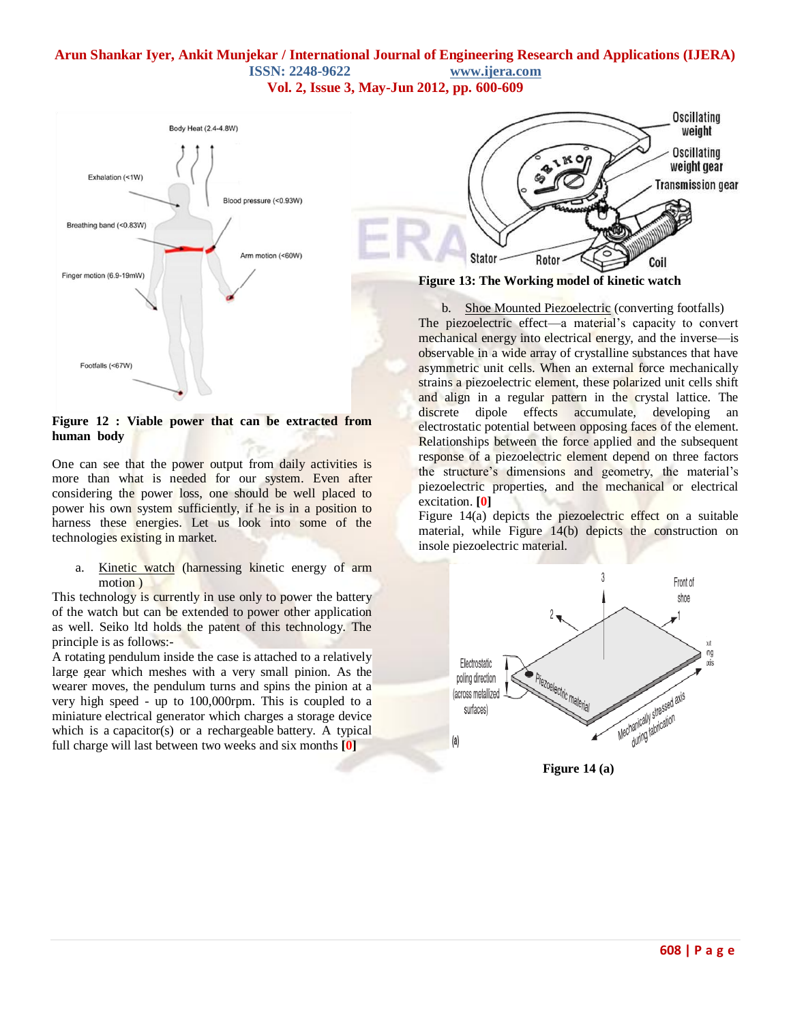

**Figure 12 : Viable power that can be extracted from human body**

One can see that the power output from daily activities is more than what is needed for our system. Even after considering the power loss, one should be well placed to power his own system sufficiently, if he is in a position to harness these energies. Let us look into some of the technologies existing in market.

a. Kinetic watch (harnessing kinetic energy of arm motion )

This technology is currently in use only to power the battery of the watch but can be extended to power other application as well. Seiko ltd holds the patent of this technology. The principle is as follows:-

A rotating [pendulum](http://en.wikipedia.org/wiki/Pendulum) inside the case is attached to a relatively large gear which meshes with a very small [pinion.](http://en.wikipedia.org/wiki/Pinion) As the wearer moves, the pendulum turns and spins the pinion at a very high speed - up to 100,00[0rpm.](http://en.wikipedia.org/wiki/Revolutions_per_minute) This is coupled to a miniature [electrical generator](http://en.wikipedia.org/wiki/Electrical_generator) which charges a storage device which is a [capacitor\(](http://en.wikipedia.org/wiki/Capacitor)s) or a rechargeable [battery.](http://en.wikipedia.org/wiki/Button_cell) A typical full charge will last between two weeks and six months **[\[0\]](#page-9-5)**



b. Shoe Mounted Piezoelectric (converting footfalls) The piezoelectric effect—a material's capacity to convert mechanical energy into electrical energy, and the inverse—is observable in a wide array of crystalline substances that have asymmetric unit cells. When an external force mechanically strains a piezoelectric element, these polarized unit cells shift and align in a regular pattern in the crystal lattice. The discrete dipole effects accumulate, developing an electrostatic potential between opposing faces of the element. Relationships between the force applied and the subsequent response of a piezoelectric element depend on three factors the structure's dimensions and geometry, the material's piezoelectric properties, and the mechanical or electrical excitation. **[\[0\]](#page-9-5)**

Figure 14(a) depicts the piezoelectric effect on a suitable material, while Figure 14(b) depicts the construction on insole piezoelectric material.